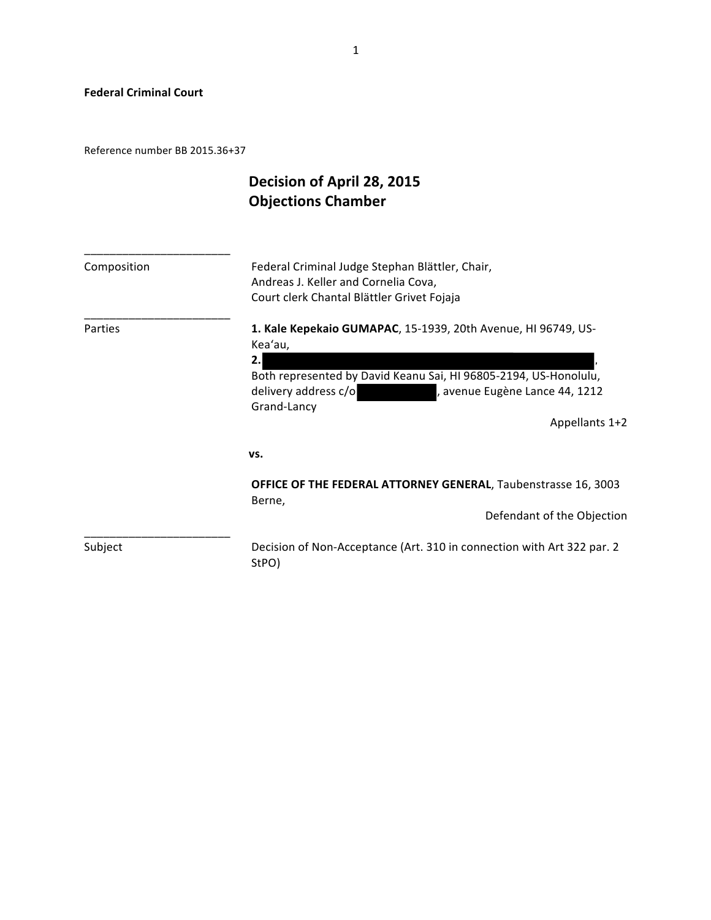**Federal Criminal Court** 

Reference number BB 2015.36+37

# Decision of April 28, 2015 **Objections Chamber**

| Composition | Federal Criminal Judge Stephan Blättler, Chair,<br>Andreas J. Keller and Cornelia Cova,<br>Court clerk Chantal Blättler Grivet Fojaja                                                                                                         |
|-------------|-----------------------------------------------------------------------------------------------------------------------------------------------------------------------------------------------------------------------------------------------|
| Parties     | 1. Kale Kepekaio GUMAPAC, 15-1939, 20th Avenue, HI 96749, US-<br>Kea'au,<br>2.<br>Both represented by David Keanu Sai, HI 96805-2194, US-Honolulu,<br>delivery address c/o<br>, avenue Eugène Lance 44, 1212<br>Grand-Lancy<br>Appellants 1+2 |
|             | VS.                                                                                                                                                                                                                                           |
|             | <b>OFFICE OF THE FEDERAL ATTORNEY GENERAL, Taubenstrasse 16, 3003</b><br>Berne,<br>Defendant of the Objection                                                                                                                                 |
| Subject     | Decision of Non-Acceptance (Art. 310 in connection with Art 322 par. 2<br>StPO)                                                                                                                                                               |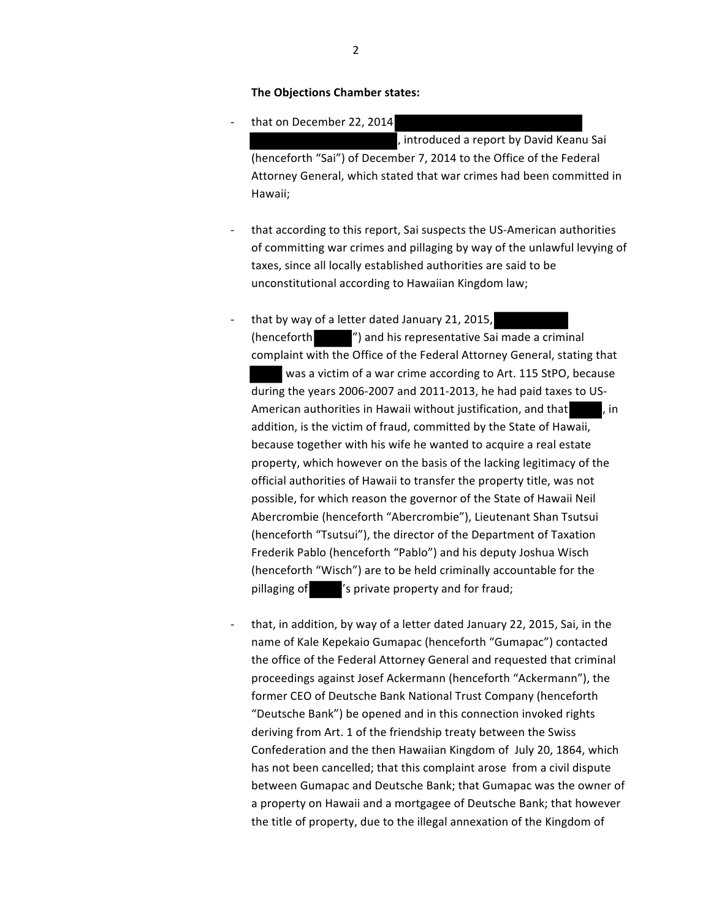#### **The Objections Chamber states:**

that on December 22, 2014

, introduced a report by David Keanu Sai (henceforth "Sai") of December 7, 2014 to the Office of the Federal Attorney General, which stated that war crimes had been committed in Hawaii;

- that according to this report, Sai suspects the US-American authorities of committing war crimes and pillaging by way of the unlawful levying of taxes, since all locally established authorities are said to be unconstitutional according to Hawaiian Kingdom law;
- that by way of a letter dated January 21, 2015,  $($ henceforth  $"$ ) and his representative Sai made a criminal complaint with the Office of the Federal Attorney General, stating that was a victim of a war crime according to Art. 115 StPO, because during the years 2006-2007 and 2011-2013, he had paid taxes to US-American authorities in Hawaii without justification, and that  $\qquad$ , in addition, is the victim of fraud, committed by the State of Hawaii, because together with his wife he wanted to acquire a real estate property, which however on the basis of the lacking legitimacy of the official authorities of Hawaii to transfer the property title, was not possible, for which reason the governor of the State of Hawaii Neil Abercrombie (henceforth "Abercrombie"), Lieutenant Shan Tsutsui (henceforth "Tsutsui"), the director of the Department of Taxation Frederik Pablo (henceforth "Pablo") and his deputy Joshua Wisch (henceforth "Wisch") are to be held criminally accountable for the pillaging of  $\blacksquare$  's private property and for fraud;
- that, in addition, by way of a letter dated January 22, 2015, Sai, in the name of Kale Kepekaio Gumapac (henceforth "Gumapac") contacted the office of the Federal Attorney General and requested that criminal proceedings against Josef Ackermann (henceforth "Ackermann"), the former CEO of Deutsche Bank National Trust Company (henceforth "Deutsche Bank") be opened and in this connection invoked rights deriving from Art. 1 of the friendship treaty between the Swiss Confederation and the then Hawaiian Kingdom of July 20, 1864, which has not been cancelled; that this complaint arose from a civil dispute between Gumapac and Deutsche Bank; that Gumapac was the owner of a property on Hawaii and a mortgagee of Deutsche Bank; that however the title of property, due to the illegal annexation of the Kingdom of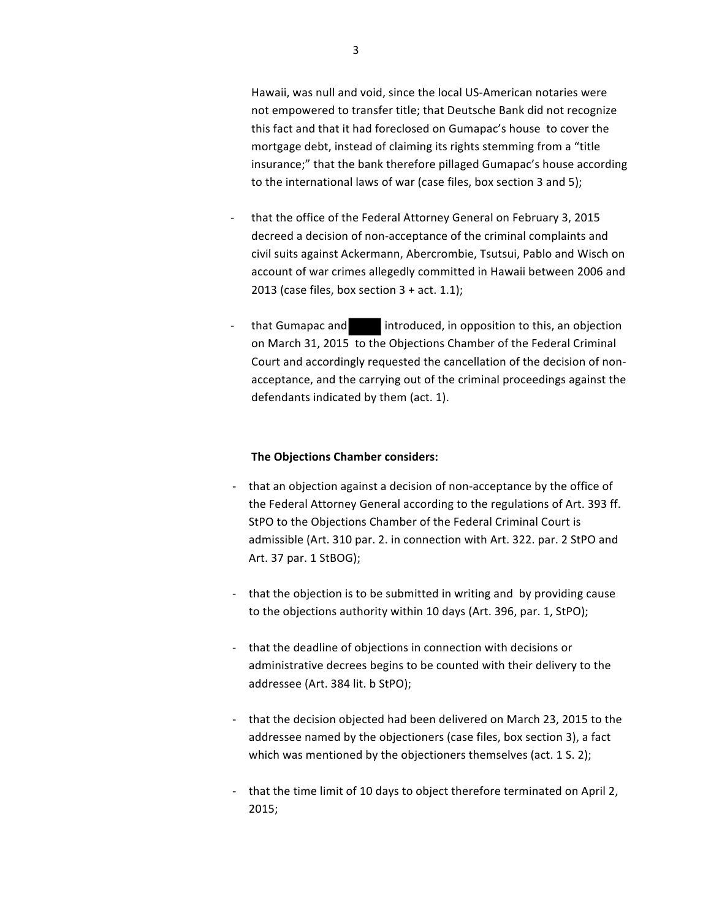Hawaii, was null and void, since the local US-American notaries were not empowered to transfer title; that Deutsche Bank did not recognize this fact and that it had foreclosed on Gumapac's house to cover the mortgage debt, instead of claiming its rights stemming from a "title insurance;" that the bank therefore pillaged Gumapac's house according to the international laws of war (case files, box section 3 and 5);

- that the office of the Federal Attorney General on February 3, 2015 decreed a decision of non-acceptance of the criminal complaints and civil suits against Ackermann, Abercrombie, Tsutsui, Pablo and Wisch on account of war crimes allegedly committed in Hawaii between 2006 and 2013 (case files, box section  $3 + act. 1.1$ );
- that Gumapac and **introduced**, in opposition to this, an objection on March 31, 2015 to the Objections Chamber of the Federal Criminal Court and accordingly requested the cancellation of the decision of nonacceptance, and the carrying out of the criminal proceedings against the defendants indicated by them (act. 1).

#### **The Objections Chamber considers:**

- that an objection against a decision of non-acceptance by the office of the Federal Attorney General according to the regulations of Art. 393 ff. StPO to the Objections Chamber of the Federal Criminal Court is admissible (Art. 310 par. 2. in connection with Art. 322. par. 2 StPO and Art. 37 par. 1 StBOG);
- that the objection is to be submitted in writing and by providing cause to the objections authority within 10 days (Art. 396, par. 1, StPO);
- that the deadline of objections in connection with decisions or administrative decrees begins to be counted with their delivery to the addressee (Art. 384 lit. b StPO);
- that the decision objected had been delivered on March 23, 2015 to the addressee named by the objectioners (case files, box section 3), a fact which was mentioned by the objectioners themselves (act.  $1 S. 2$ );
- that the time limit of 10 days to object therefore terminated on April 2, 2015;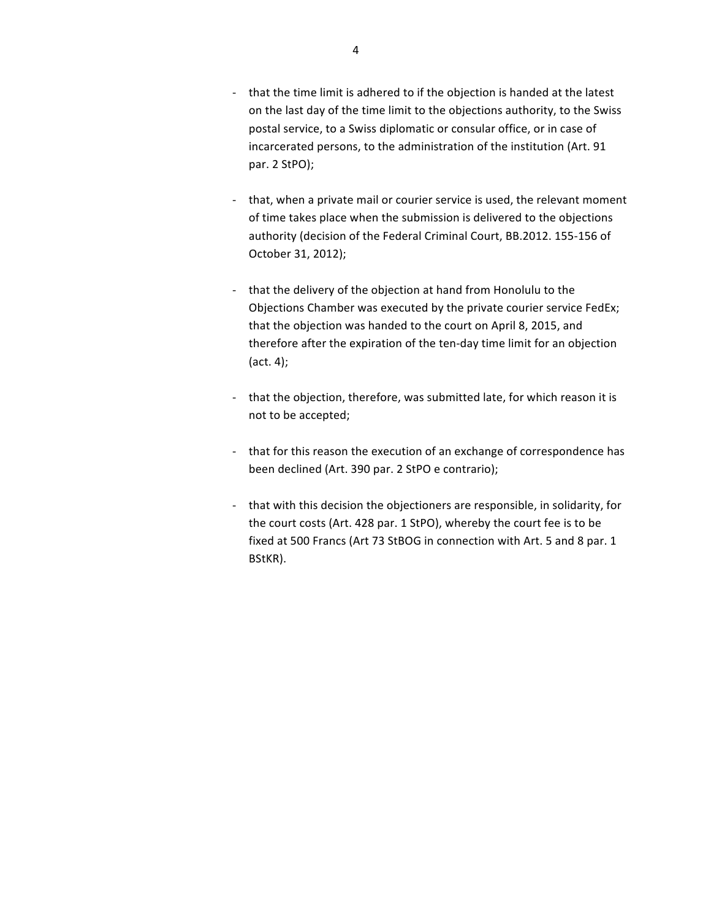- that the time limit is adhered to if the objection is handed at the latest on the last day of the time limit to the objections authority, to the Swiss postal service, to a Swiss diplomatic or consular office, or in case of incarcerated persons, to the administration of the institution (Art. 91 par. 2 StPO);
- that, when a private mail or courier service is used, the relevant moment of time takes place when the submission is delivered to the objections authority (decision of the Federal Criminal Court, BB.2012. 155-156 of October 31, 2012);
- that the delivery of the objection at hand from Honolulu to the Objections Chamber was executed by the private courier service FedEx; that the objection was handed to the court on April 8, 2015, and therefore after the expiration of the ten-day time limit for an objection  $(act. 4);$
- that the objection, therefore, was submitted late, for which reason it is not to be accepted;
- that for this reason the execution of an exchange of correspondence has been declined (Art. 390 par. 2 StPO e contrario);
- that with this decision the objectioners are responsible, in solidarity, for the court costs (Art. 428 par. 1 StPO), whereby the court fee is to be fixed at 500 Francs (Art 73 StBOG in connection with Art. 5 and 8 par. 1 BStKR).